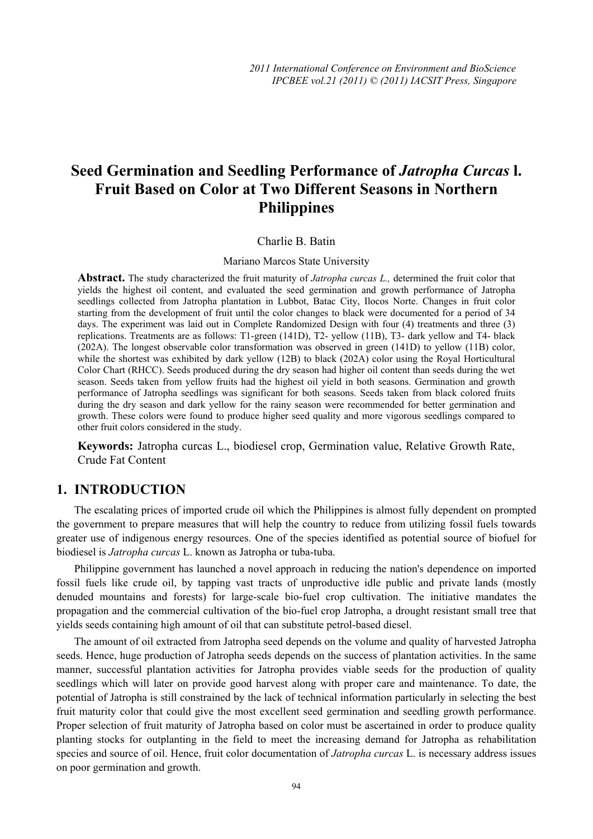# **Seed Germination and Seedling Performance of** *Jatropha Curcas* **l. Fruit Based on Color at Two Different Seasons in Northern Philippines**

#### Charlie B. Batin

#### Mariano Marcos State University

**Abstract.** The study characterized the fruit maturity of *Jatropha curcas L.,* determined the fruit color that yields the highest oil content, and evaluated the seed germination and growth performance of Jatropha seedlings collected from Jatropha plantation in Lubbot, Batac City, Ilocos Norte. Changes in fruit color starting from the development of fruit until the color changes to black were documented for a period of 34 days. The experiment was laid out in Complete Randomized Design with four (4) treatments and three (3) replications. Treatments are as follows: T1-green (141D), T2- yellow (11B), T3- dark yellow and T4- black (202A). The longest observable color transformation was observed in green (141D) to yellow (11B) color, while the shortest was exhibited by dark yellow (12B) to black (202A) color using the Royal Horticultural Color Chart (RHCC). Seeds produced during the dry season had higher oil content than seeds during the wet season. Seeds taken from yellow fruits had the highest oil yield in both seasons. Germination and growth performance of Jatropha seedlings was significant for both seasons. Seeds taken from black colored fruits during the dry season and dark yellow for the rainy season were recommended for better germination and growth. These colors were found to produce higher seed quality and more vigorous seedlings compared to other fruit colors considered in the study.

**Keywords:** Jatropha curcas L., biodiesel crop, Germination value, Relative Growth Rate, Crude Fat Content

### **1. INTRODUCTION**

The escalating prices of imported crude oil which the Philippines is almost fully dependent on prompted the government to prepare measures that will help the country to reduce from utilizing fossil fuels towards greater use of indigenous energy resources. One of the species identified as potential source of biofuel for biodiesel is *Jatropha curcas* L. known as Jatropha or tuba-tuba.

Philippine government has launched a novel approach in reducing the nation's dependence on imported fossil fuels like crude oil, by tapping vast tracts of unproductive idle public and private lands (mostly denuded mountains and forests) for large-scale bio-fuel crop cultivation. The initiative mandates the propagation and the commercial cultivation of the bio-fuel crop Jatropha, a drought resistant small tree that yields seeds containing high amount of oil that can substitute petrol-based diesel.

The amount of oil extracted from Jatropha seed depends on the volume and quality of harvested Jatropha seeds. Hence, huge production of Jatropha seeds depends on the success of plantation activities. In the same manner, successful plantation activities for Jatropha provides viable seeds for the production of quality seedlings which will later on provide good harvest along with proper care and maintenance. To date, the potential of Jatropha is still constrained by the lack of technical information particularly in selecting the best fruit maturity color that could give the most excellent seed germination and seedling growth performance. Proper selection of fruit maturity of Jatropha based on color must be ascertained in order to produce quality planting stocks for outplanting in the field to meet the increasing demand for Jatropha as rehabilitation species and source of oil. Hence, fruit color documentation of *Jatropha curcas* L. is necessary address issues on poor germination and growth.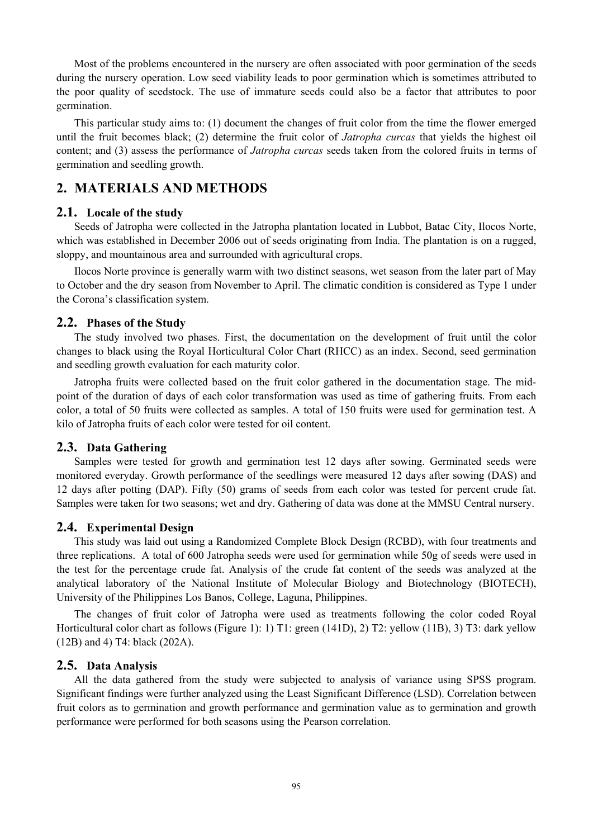Most of the problems encountered in the nursery are often associated with poor germination of the seeds during the nursery operation. Low seed viability leads to poor germination which is sometimes attributed to the poor quality of seedstock. The use of immature seeds could also be a factor that attributes to poor germination.

This particular study aims to: (1) document the changes of fruit color from the time the flower emerged until the fruit becomes black; (2) determine the fruit color of *Jatropha curcas* that yields the highest oil content; and (3) assess the performance of *Jatropha curcas* seeds taken from the colored fruits in terms of germination and seedling growth.

## **2. MATERIALS AND METHODS**

#### **2.1. Locale of the study**

Seeds of Jatropha were collected in the Jatropha plantation located in Lubbot, Batac City, Ilocos Norte, which was established in December 2006 out of seeds originating from India. The plantation is on a rugged, sloppy, and mountainous area and surrounded with agricultural crops.

Ilocos Norte province is generally warm with two distinct seasons, wet season from the later part of May to October and the dry season from November to April. The climatic condition is considered as Type 1 under the Corona's classification system.

### **2.2. Phases of the Study**

The study involved two phases. First, the documentation on the development of fruit until the color changes to black using the Royal Horticultural Color Chart (RHCC) as an index. Second, seed germination and seedling growth evaluation for each maturity color.

Jatropha fruits were collected based on the fruit color gathered in the documentation stage. The midpoint of the duration of days of each color transformation was used as time of gathering fruits. From each color, a total of 50 fruits were collected as samples. A total of 150 fruits were used for germination test. A kilo of Jatropha fruits of each color were tested for oil content.

## **2.3. Data Gathering**

Samples were tested for growth and germination test 12 days after sowing. Germinated seeds were monitored everyday. Growth performance of the seedlings were measured 12 days after sowing (DAS) and 12 days after potting (DAP). Fifty (50) grams of seeds from each color was tested for percent crude fat. Samples were taken for two seasons; wet and dry. Gathering of data was done at the MMSU Central nursery.

#### **2.4. Experimental Design**

This study was laid out using a Randomized Complete Block Design (RCBD), with four treatments and three replications. A total of 600 Jatropha seeds were used for germination while 50g of seeds were used in the test for the percentage crude fat. Analysis of the crude fat content of the seeds was analyzed at the analytical laboratory of the National Institute of Molecular Biology and Biotechnology (BIOTECH), University of the Philippines Los Banos, College, Laguna, Philippines.

The changes of fruit color of Jatropha were used as treatments following the color coded Royal Horticultural color chart as follows (Figure 1): 1) T1: green (141D), 2) T2: yellow (11B), 3) T3: dark yellow (12B) and 4) T4: black (202A).

#### **2.5. Data Analysis**

All the data gathered from the study were subjected to analysis of variance using SPSS program. Significant findings were further analyzed using the Least Significant Difference (LSD). Correlation between fruit colors as to germination and growth performance and germination value as to germination and growth performance were performed for both seasons using the Pearson correlation.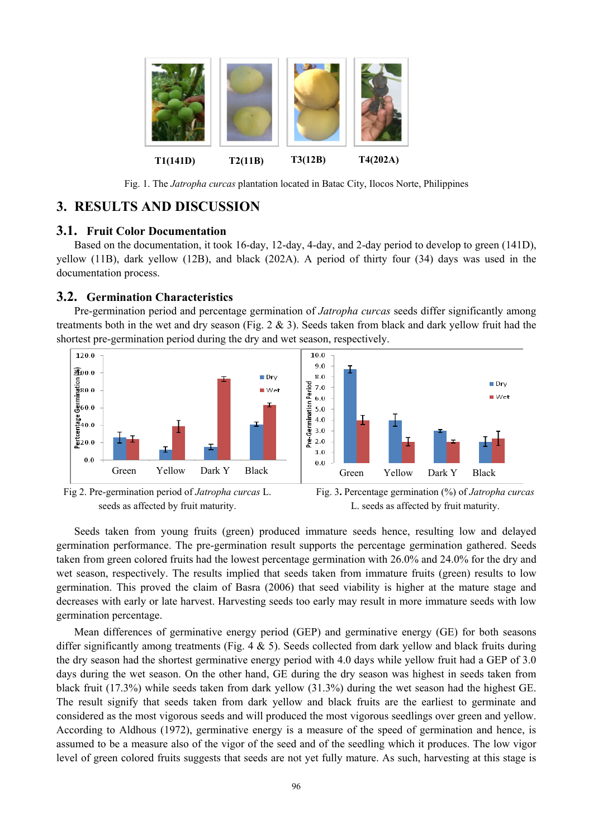

Fig. 1. The *Jatropha curcas* plantation located in Batac City, Ilocos Norte, Philippines

## **3. RESULTS AND DISCUSSION**

## **3.1. Fruit Color Documentation**

Based on the documentation, it took 16-day, 12-day, 4-day, and 2-day period to develop to green (141D), yellow (11B), dark yellow (12B), and black (202A). A period of thirty four (34) days was used in the documentation process.

## **3.2. Germination Characteristics**

Pre-germination period and percentage germination of *Jatropha curcas* seeds differ significantly among treatments both in the wet and dry season (Fig.  $2 \& 3$ ). Seeds taken from black and dark yellow fruit had the shortest pre-germination period during the dry and wet season, respectively.





Seeds taken from young fruits (green) produced immature seeds hence, resulting low and delayed germination performance. The pre-germination result supports the percentage germination gathered. Seeds taken from green colored fruits had the lowest percentage germination with 26.0% and 24.0% for the dry and wet season, respectively. The results implied that seeds taken from immature fruits (green) results to low germination. This proved the claim of Basra (2006) that seed viability is higher at the mature stage and decreases with early or late harvest. Harvesting seeds too early may result in more immature seeds with low germination percentage.

Mean differences of germinative energy period (GEP) and germinative energy (GE) for both seasons differ significantly among treatments (Fig. 4 & 5). Seeds collected from dark yellow and black fruits during the dry season had the shortest germinative energy period with 4.0 days while yellow fruit had a GEP of 3.0 days during the wet season. On the other hand, GE during the dry season was highest in seeds taken from black fruit (17.3%) while seeds taken from dark yellow (31.3%) during the wet season had the highest GE. The result signify that seeds taken from dark yellow and black fruits are the earliest to germinate and considered as the most vigorous seeds and will produced the most vigorous seedlings over green and yellow. According to Aldhous (1972), germinative energy is a measure of the speed of germination and hence, is assumed to be a measure also of the vigor of the seed and of the seedling which it produces. The low vigor level of green colored fruits suggests that seeds are not yet fully mature. As such, harvesting at this stage is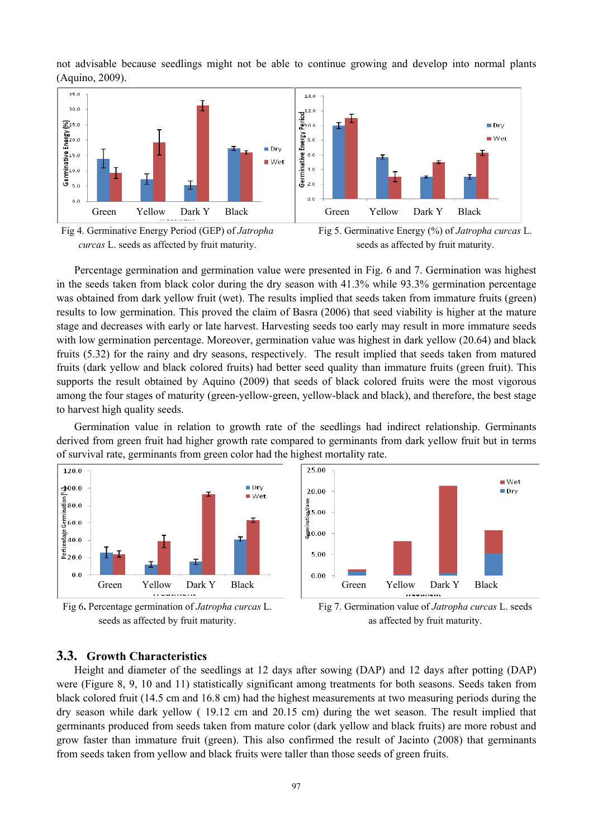not advisable because seedlings might not be able to continue growing and develop into normal plants (Aquino, 2009).







Percentage germination and germination value were presented in Fig. 6 and 7. Germination was highest in the seeds taken from black color during the dry season with 41.3% while 93.3% germination percentage was obtained from dark yellow fruit (wet). The results implied that seeds taken from immature fruits (green) results to low germination. This proved the claim of Basra (2006) that seed viability is higher at the mature stage and decreases with early or late harvest. Harvesting seeds too early may result in more immature seeds with low germination percentage. Moreover, germination value was highest in dark yellow (20.64) and black fruits (5.32) for the rainy and dry seasons, respectively. The result implied that seeds taken from matured fruits (dark yellow and black colored fruits) had better seed quality than immature fruits (green fruit). This supports the result obtained by Aquino (2009) that seeds of black colored fruits were the most vigorous among the four stages of maturity (green-yellow-green, yellow-black and black), and therefore, the best stage to harvest high quality seeds.

Germination value in relation to growth rate of the seedlings had indirect relationship. Germinants derived from green fruit had higher growth rate compared to germinants from dark yellow fruit but in terms of survival rate, germinants from green color had the highest mortality rate.



## **3.3. Growth Characteristics**

Height and diameter of the seedlings at 12 days after sowing (DAP) and 12 days after potting (DAP) were (Figure 8, 9, 10 and 11) statistically significant among treatments for both seasons. Seeds taken from black colored fruit (14.5 cm and 16.8 cm) had the highest measurements at two measuring periods during the dry season while dark yellow ( 19.12 cm and 20.15 cm) during the wet season. The result implied that germinants produced from seeds taken from mature color (dark yellow and black fruits) are more robust and grow faster than immature fruit (green). This also confirmed the result of Jacinto (2008) that germinants from seeds taken from yellow and black fruits were taller than those seeds of green fruits.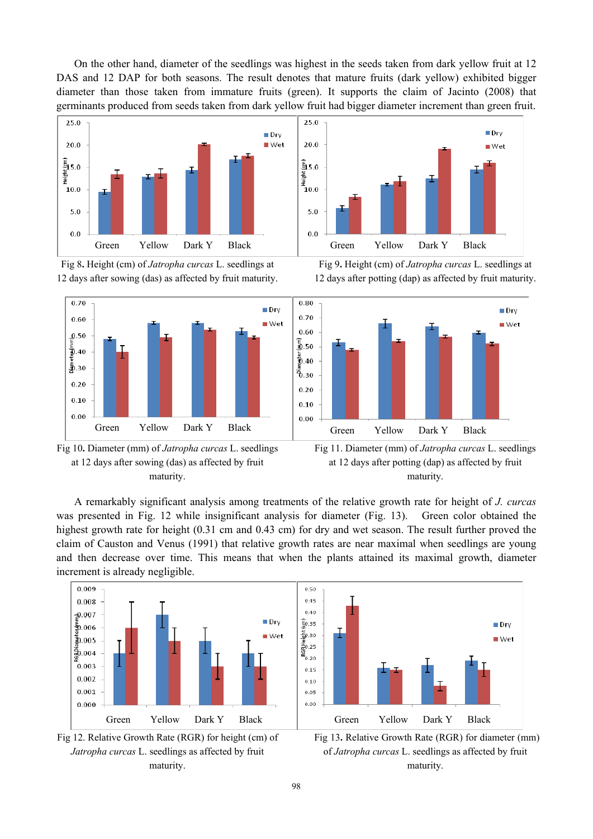On the other hand, diameter of the seedlings was highest in the seeds taken from dark yellow fruit at 12 DAS and 12 DAP for both seasons. The result denotes that mature fruits (dark yellow) exhibited bigger diameter than those taken from immature fruits (green). It supports the claim of Jacinto (2008) that germinants produced from seeds taken from dark yellow fruit had bigger diameter increment than green fruit.











Fig 9**.** Height (cm) of *Jatropha curcas* L. seedlings at 12 days after potting (dap) as affected by fruit maturity.



Fig 11. Diameter (mm) of *Jatropha curcas* L. seedlings at 12 days after potting (dap) as affected by fruit maturity.

A remarkably significant analysis among treatments of the relative growth rate for height of *J. curcas* was presented in Fig. 12 while insignificant analysis for diameter (Fig. 13). Green color obtained the highest growth rate for height (0.31 cm and 0.43 cm) for dry and wet season. The result further proved the claim of Causton and Venus (1991) that relative growth rates are near maximal when seedlings are young and then decrease over time. This means that when the plants attained its maximal growth, diameter increment is already negligible.







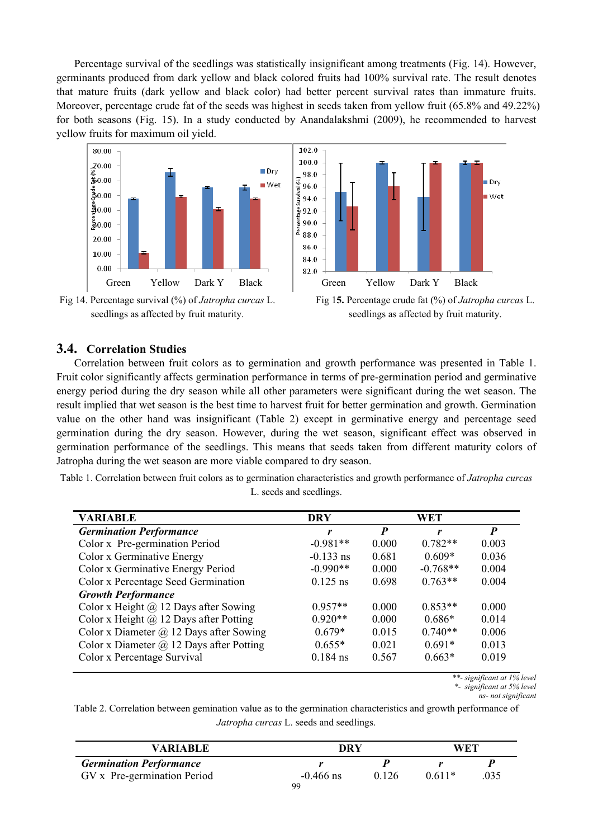Percentage survival of the seedlings was statistically insignificant among treatments (Fig. 14). However, germinants produced from dark yellow and black colored fruits had 100% survival rate. The result denotes that mature fruits (dark yellow and black color) had better percent survival rates than immature fruits. Moreover, percentage crude fat of the seeds was highest in seeds taken from yellow fruit (65.8% and 49.22%) for both seasons (Fig. 15). In a study conducted by Anandalakshmi (2009), he recommended to harvest yellow fruits for maximum oil yield.



Fig 14. Percentage survival (%) of *Jatropha curcas* L. seedlings as affected by fruit maturity.



Fig 1**5.** Percentage crude fat (%) of *Jatropha curcas* L. seedlings as affected by fruit maturity.

## **3.4. Correlation Studies**

Correlation between fruit colors as to germination and growth performance was presented in Table 1. Fruit color significantly affects germination performance in terms of pre-germination period and germinative energy period during the dry season while all other parameters were significant during the wet season. The result implied that wet season is the best time to harvest fruit for better germination and growth. Germination value on the other hand was insignificant (Table 2) except in germinative energy and percentage seed germination during the dry season. However, during the wet season, significant effect was observed in germination performance of the seedlings. This means that seeds taken from different maturity colors of Jatropha during the wet season are more viable compared to dry season.

Table 1. Correlation between fruit colors as to germination characteristics and growth performance of *Jatropha curcas* L. seeds and seedlings.

| <b>VARIABLE</b>                                 | <b>DRY</b>  | WET              |            |       |
|-------------------------------------------------|-------------|------------------|------------|-------|
| <b>Germination Performance</b>                  | r           | $\boldsymbol{P}$ | r          | P     |
| Color x Pre-germination Period                  | $-0.981**$  | 0.000            | $0.782**$  | 0.003 |
| Color x Germinative Energy                      | $-0.133$ ns | 0.681            | $0.609*$   | 0.036 |
| Color x Germinative Energy Period               | $-0.990**$  | 0.000            | $-0.768**$ | 0.004 |
| Color x Percentage Seed Germination             | $0.125$ ns  | 0.698            | $0.763**$  | 0.004 |
| <b>Growth Performance</b>                       |             |                  |            |       |
| Color x Height $@$ 12 Days after Sowing         | $0.957**$   | 0.000            | $0.853**$  | 0.000 |
| Color x Height $\omega$ 12 Days after Potting   | $0.920**$   | 0.000            | $0.686*$   | 0.014 |
| Color x Diameter $(a)$ 12 Days after Sowing     | $0.679*$    | 0.015            | $0.740**$  | 0.006 |
| Color x Diameter $\omega$ 12 Days after Potting | $0.655*$    | 0.021            | $0.691*$   | 0.013 |
| Color x Percentage Survival                     | $0.184$ ns  | 0.567            | $0.663*$   | 0.019 |

*\*\*- significant at 1% level \*- significant at 5% level* 

*ns- not significant* 

Table 2. Correlation between gemination value as to the germination characteristics and growth performance of *Jatropha curcas* L. seeds and seedlings.

| <b>VARIABLE</b>                | DRY         |       | <b>WET</b> |      |
|--------------------------------|-------------|-------|------------|------|
| <b>Germination Performance</b> |             |       |            |      |
| GV x Pre-germination Period    | $-0.466$ ns | 0.126 | $0.611*$   | .035 |
|                                | 99          |       |            |      |